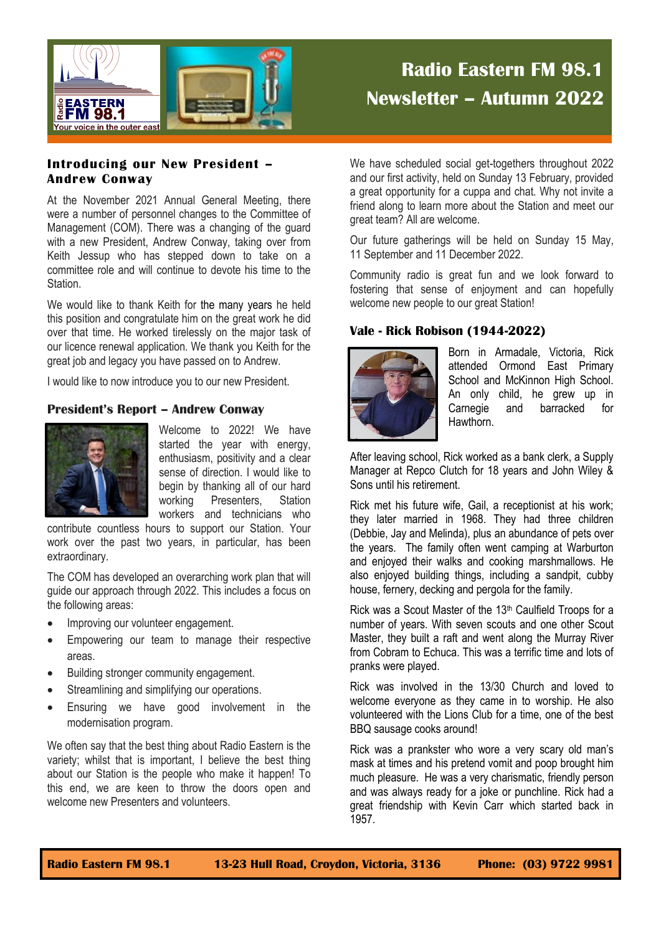

# **Radio Eastern FM 98.1 Newsletter – Autumn 2022**

# **Introducing our New President – Andrew Conway**

At the November 2021 Annual General Meeting, there were a number of personnel changes to the Committee of Management (COM). There was a changing of the guard with a new President, Andrew Conway, taking over from Keith Jessup who has stepped down to take on a committee role and will continue to devote his time to the Station.

We would like to thank Keith for the many years he held this position and congratulate him on the great work he did over that time. He worked tirelessly on the major task of our licence renewal application. We thank you Keith for the great job and legacy you have passed on to Andrew.

I would like to now introduce you to our new President.

# **President's Report – Andrew Conway**



Welcome to 2022! We have started the year with energy, enthusiasm, positivity and a clear sense of direction. I would like to begin by thanking all of our hard working Presenters, Station workers and technicians who

contribute countless hours to support our Station. Your work over the past two years, in particular, has been extraordinary.

The COM has developed an overarching work plan that will guide our approach through 2022. This includes a focus on the following areas:

- Improving our volunteer engagement.
- Empowering our team to manage their respective areas.
- Building stronger community engagement.
- Streamlining and simplifying our operations.
- Ensuring we have good involvement in the modernisation program.

We often say that the best thing about Radio Eastern is the variety; whilst that is important, I believe the best thing about our Station is the people who make it happen! To this end, we are keen to throw the doors open and welcome new Presenters and volunteers.

We have scheduled social get-togethers throughout 2022 and our first activity, held on Sunday 13 February, provided a great opportunity for a cuppa and chat. Why not invite a friend along to learn more about the Station and meet our great team? All are welcome.

Our future gatherings will be held on Sunday 15 May, 11 September and 11 December 2022.

Community radio is great fun and we look forward to fostering that sense of enjoyment and can hopefully welcome new people to our great Station!

# **Vale - Rick Robison (1944-2022)**



Born in Armadale, Victoria, Rick attended Ormond East Primary School and McKinnon High School. An only child, he grew up in Carnegie and barracked for Hawthorn.

After leaving school, Rick worked as a bank clerk, a Supply Manager at Repco Clutch for 18 years and John Wiley & Sons until his retirement.

Rick met his future wife, Gail, a receptionist at his work; they later married in 1968. They had three children (Debbie, Jay and Melinda), plus an abundance of pets over the years. The family often went camping at Warburton and enjoyed their walks and cooking marshmallows. He also enjoyed building things, including a sandpit, cubby house, fernery, decking and pergola for the family.

Rick was a Scout Master of the 13<sup>th</sup> Caulfield Troops for a number of years. With seven scouts and one other Scout Master, they built a raft and went along the Murray River from Cobram to Echuca. This was a terrific time and lots of pranks were played.

Rick was involved in the 13/30 Church and loved to welcome everyone as they came in to worship. He also volunteered with the Lions Club for a time, one of the best BBQ sausage cooks around!

Rick was a prankster who wore a very scary old man's mask at times and his pretend vomit and poop brought him much pleasure. He was a very charismatic, friendly person and was always ready for a joke or punchline. Rick had a great friendship with Kevin Carr which started back in 1957.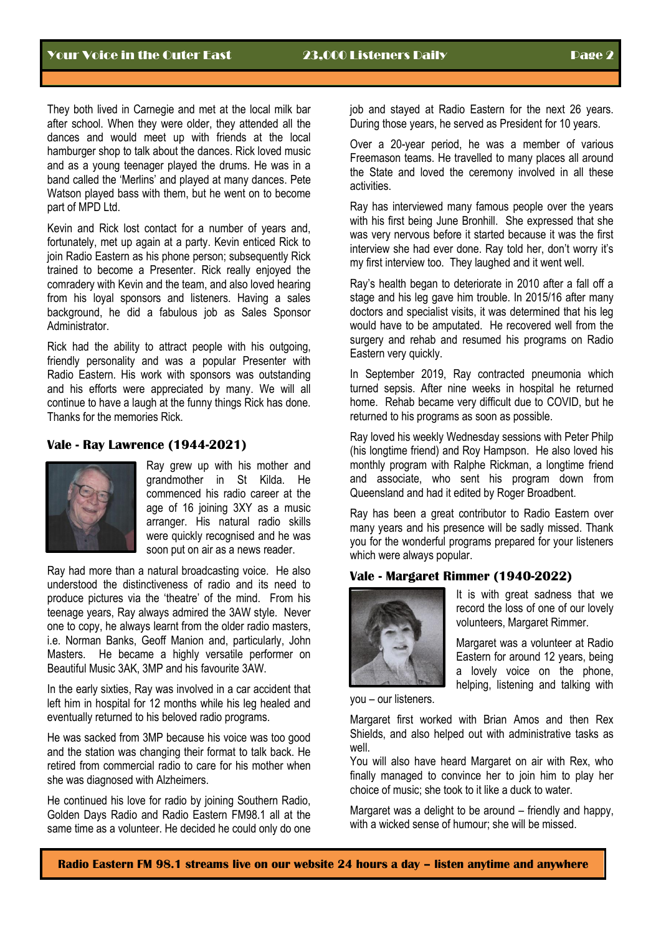They both lived in Carnegie and met at the local milk bar after school. When they were older, they attended all the dances and would meet up with friends at the local hamburger shop to talk about the dances. Rick loved music and as a young teenager played the drums. He was in a band called the 'Merlins' and played at many dances. Pete Watson played bass with them, but he went on to become part of MPD Ltd.

Kevin and Rick lost contact for a number of years and, fortunately, met up again at a party. Kevin enticed Rick to join Radio Eastern as his phone person; subsequently Rick trained to become a Presenter. Rick really enjoyed the comradery with Kevin and the team, and also loved hearing from his loyal sponsors and listeners. Having a sales background, he did a fabulous job as Sales Sponsor **Administrator** 

Rick had the ability to attract people with his outgoing, friendly personality and was a popular Presenter with Radio Eastern. His work with sponsors was outstanding and his efforts were appreciated by many. We will all continue to have a laugh at the funny things Rick has done. Thanks for the memories Rick.

## **Vale - Ray Lawrence (1944-2021)**



Ray grew up with his mother and grandmother in St Kilda. He commenced his radio career at the age of 16 joining 3XY as a music arranger. His natural radio skills were quickly recognised and he was soon put on air as a news reader.

Ray had more than a natural broadcasting voice. He also understood the distinctiveness of radio and its need to produce pictures via the 'theatre' of the mind. From his teenage years, Ray always admired the 3AW style. Never one to copy, he always learnt from the older radio masters, i.e. Norman Banks, Geoff Manion and, particularly, John Masters. He became a highly versatile performer on Beautiful Music 3AK, 3MP and his favourite 3AW.

In the early sixties, Ray was involved in a car accident that left him in hospital for 12 months while his leg healed and eventually returned to his beloved radio programs.

He was sacked from 3MP because his voice was too good and the station was changing their format to talk back. He retired from commercial radio to care for his mother when she was diagnosed with Alzheimers.

He continued his love for radio by joining Southern Radio, Golden Days Radio and Radio Eastern FM98.1 all at the same time as a volunteer. He decided he could only do one

job and stayed at Radio Eastern for the next 26 years. During those years, he served as President for 10 years.

Over a 20-year period, he was a member of various Freemason teams. He travelled to many places all around the State and loved the ceremony involved in all these activities.

Ray has interviewed many famous people over the years with his first being June Bronhill. She expressed that she was very nervous before it started because it was the first interview she had ever done. Ray told her, don't worry it's my first interview too. They laughed and it went well.

Ray's health began to deteriorate in 2010 after a fall off a stage and his leg gave him trouble. In 2015/16 after many doctors and specialist visits, it was determined that his leg would have to be amputated. He recovered well from the surgery and rehab and resumed his programs on Radio Eastern very quickly.

In September 2019, Ray contracted pneumonia which turned sepsis. After nine weeks in hospital he returned home. Rehab became very difficult due to COVID, but he returned to his programs as soon as possible.

Ray loved his weekly Wednesday sessions with Peter Philp (his longtime friend) and Roy Hampson. He also loved his monthly program with Ralphe Rickman, a longtime friend and associate, who sent his program down from Queensland and had it edited by Roger Broadbent.

Ray has been a great contributor to Radio Eastern over many years and his presence will be sadly missed. Thank you for the wonderful programs prepared for your listeners which were always popular.

### **Vale - Margaret Rimmer (1940-2022)**



It is with great sadness that we record the loss of one of our lovely volunteers, Margaret Rimmer.

Margaret was a volunteer at Radio Eastern for around 12 years, being a lovely voice on the phone, helping, listening and talking with

you – our listeners.

Margaret first worked with Brian Amos and then Rex Shields, and also helped out with administrative tasks as well.

You will also have heard Margaret on air with Rex, who finally managed to convince her to join him to play her choice of music; she took to it like a duck to water.

Margaret was a delight to be around – friendly and happy. with a wicked sense of humour; she will be missed.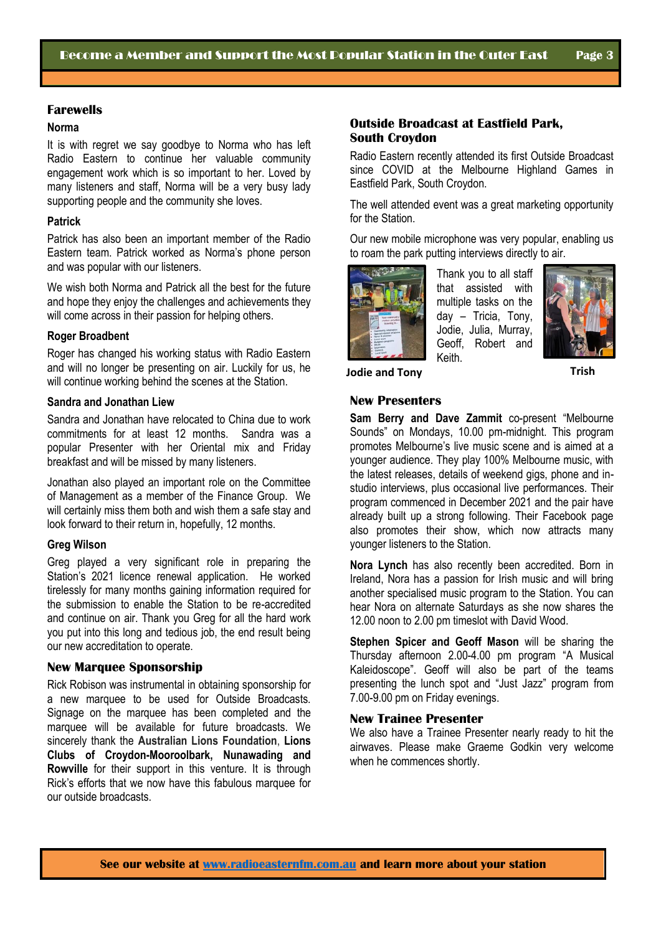#### **Norma**

It is with regret we say goodbye to Norma who has left Radio Eastern to continue her valuable community engagement work which is so important to her. Loved by many listeners and staff, Norma will be a very busy lady supporting people and the community she loves.

#### **Patrick**

Patrick has also been an important member of the Radio Eastern team. Patrick worked as Norma's phone person and was popular with our listeners.

We wish both Norma and Patrick all the best for the future and hope they enjoy the challenges and achievements they will come across in their passion for helping others.

#### **Roger Broadbent**

Roger has changed his working status with Radio Eastern and will no longer be presenting on air. Luckily for us, he will continue working behind the scenes at the Station.

#### **Sandra and Jonathan Liew**

Sandra and Jonathan have relocated to China due to work commitments for at least 12 months. Sandra was a popular Presenter with her Oriental mix and Friday breakfast and will be missed by many listeners.

Jonathan also played an important role on the Committee of Management as a member of the Finance Group. We will certainly miss them both and wish them a safe stay and look forward to their return in, hopefully, 12 months.

#### **Greg Wilson**

Greg played a very significant role in preparing the Station's 2021 licence renewal application. He worked tirelessly for many months gaining information required for the submission to enable the Station to be re-accredited and continue on air. Thank you Greg for all the hard work you put into this long and tedious job, the end result being our new accreditation to operate.

#### **New Marquee Sponsorship**

Rick Robison was instrumental in obtaining sponsorship for a new marquee to be used for Outside Broadcasts. Signage on the marquee has been completed and the marquee will be available for future broadcasts. We sincerely thank the **Australian Lions Foundation**, **Lions Clubs of Croydon-Mooroolbark, Nunawading and Rowville** for their support in this venture. It is through Rick's efforts that we now have this fabulous marquee for our outside broadcasts.

## **Outside Broadcast at Eastfield Park, South Croydon**

Radio Eastern recently attended its first Outside Broadcast since COVID at the Melbourne Highland Games in Eastfield Park, South Croydon.

The well attended event was a great marketing opportunity for the Station.

Our new mobile microphone was very popular, enabling us to roam the park putting interviews directly to air.



Thank you to all staff that assisted with multiple tasks on the day – Tricia, Tony, Jodie, Julia, Murray, Geoff, Robert and Keith.



# **Jodie and Tony Trish**

#### **New Presenters**

**Sam Berry and Dave Zammit** co-present "Melbourne Sounds" on Mondays, 10.00 pm-midnight. This program promotes Melbourne's live music scene and is aimed at a younger audience. They play 100% Melbourne music, with the latest releases, details of weekend gigs, phone and instudio interviews, plus occasional live performances. Their program commenced in December 2021 and the pair have already built up a strong following. Their Facebook page also promotes their show, which now attracts many younger listeners to the Station.

**Nora Lynch** has also recently been accredited. Born in Ireland, Nora has a passion for Irish music and will bring another specialised music program to the Station. You can hear Nora on alternate Saturdays as she now shares the 12.00 noon to 2.00 pm timeslot with David Wood.

**Stephen Spicer and Geoff Mason** will be sharing the Thursday afternoon 2.00-4.00 pm program "A Musical Kaleidoscope". Geoff will also be part of the teams presenting the lunch spot and "Just Jazz" program from 7.00-9.00 pm on Friday evenings.

## **New Trainee Presenter**

We also have a Trainee Presenter nearly ready to hit the airwaves. Please make Graeme Godkin very welcome when he commences shortly.